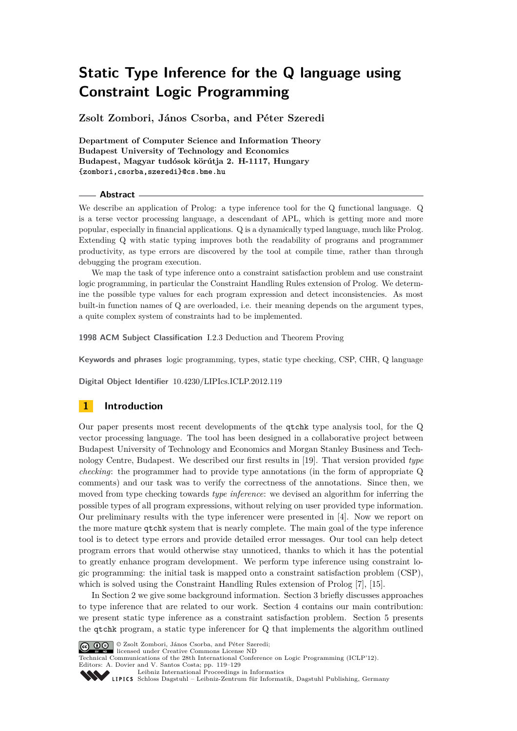**Zsolt Zombori, János Csorba, and Péter Szeredi**

**Department of Computer Science and Information Theory Budapest University of Technology and Economics Budapest, Magyar tudósok körútja 2. H-1117, Hungary {zombori,csorba,szeredi}@cs.bme.hu**

#### **Abstract**

We describe an application of Prolog: a type inference tool for the Q functional language. Q is a terse vector processing language, a descendant of APL, which is getting more and more popular, especially in financial applications. Q is a dynamically typed language, much like Prolog. Extending Q with static typing improves both the readability of programs and programmer productivity, as type errors are discovered by the tool at compile time, rather than through debugging the program execution.

We map the task of type inference onto a constraint satisfaction problem and use constraint logic programming, in particular the Constraint Handling Rules extension of Prolog. We determine the possible type values for each program expression and detect inconsistencies. As most built-in function names of Q are overloaded, i.e. their meaning depends on the argument types, a quite complex system of constraints had to be implemented.

**1998 ACM Subject Classification** I.2.3 Deduction and Theorem Proving

**Keywords and phrases** logic programming, types, static type checking, CSP, CHR, Q language

**Digital Object Identifier** [10.4230/LIPIcs.ICLP.2012.119](http://dx.doi.org/10.4230/LIPIcs.ICLP.2012.119)

# **1 Introduction**

Our paper presents most recent developments of the qtchk type analysis tool, for the Q vector processing language. The tool has been designed in a collaborative project between Budapest University of Technology and Economics and Morgan Stanley Business and Technology Centre, Budapest. We described our first results in [\[19\]](#page-10-0). That version provided *type checking*: the programmer had to provide type annotations (in the form of appropriate Q comments) and our task was to verify the correctness of the annotations. Since then, we moved from type checking towards *type inference*: we devised an algorithm for inferring the possible types of all program expressions, without relying on user provided type information. Our preliminary results with the type inferencer were presented in [\[4\]](#page-9-0). Now we report on the more mature qtchk system that is nearly complete. The main goal of the type inference tool is to detect type errors and provide detailed error messages. Our tool can help detect program errors that would otherwise stay unnoticed, thanks to which it has the potential to greatly enhance program development. We perform type inference using constraint logic programming: the initial task is mapped onto a constraint satisfaction problem (CSP), which is solved using the Constraint Handling Rules extension of Prolog [\[7\]](#page-9-1), [\[15\]](#page-10-1).

In Section [2](#page-1-0) we give some background information. Section [3](#page-2-0) briefly discusses approaches to type inference that are related to our work. Section [4](#page-3-0) contains our main contribution: we present static type inference as a constraint satisfaction problem. Section [5](#page-7-0) presents the qtchk program, a static type inferencer for Q that implements the algorithm outlined



© Zsolt Zombori, János Csorba, and Péter Szeredi; licensed under Creative Commons License ND

Technical Communications of the 28th International Conference on Logic Programming (ICLP'12).

Editors: A. Dovier and V. Santos Costa; pp. 119[–129](#page-10-2)<br> [Leibniz International Proceedings in Informatics](http://www.dagstuhl.de/lipics/)

Leibniz international Floretungs in missimosische Publishing, Germany<br>LIPICS [Schloss Dagstuhl – Leibniz-Zentrum für Informatik, Dagstuhl Publishing, Germany](http://www.dagstuhl.de)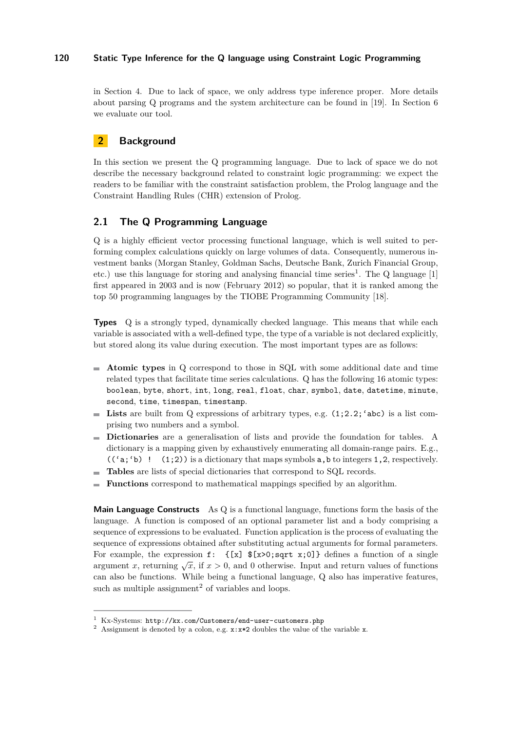in Section [4.](#page-3-0) Due to lack of space, we only address type inference proper. More details about parsing Q programs and the system architecture can be found in [\[19\]](#page-10-0). In Section [6](#page-8-0) we evaluate our tool.

# <span id="page-1-0"></span>**2 Background**

In this section we present the Q programming language. Due to lack of space we do not describe the necessary background related to constraint logic programming: we expect the readers to be familiar with the constraint satisfaction problem, the Prolog language and the Constraint Handling Rules (CHR) extension of Prolog.

# **2.1 The Q Programming Language**

Q is a highly efficient vector processing functional language, which is well suited to performing complex calculations quickly on large volumes of data. Consequently, numerous investment banks (Morgan Stanley, Goldman Sachs, Deutsche Bank, Zurich Financial Group, etc.) use this language for storing and analysing financial time series<sup>1</sup>. The Q language  $[1]$ first appeared in 2003 and is now (February 2012) so popular, that it is ranked among the top 50 programming languages by the TIOBE Programming Community [\[18\]](#page-10-3).

**Types** Q is a strongly typed, dynamically checked language. This means that while each variable is associated with a well-defined type, the type of a variable is not declared explicitly, but stored along its value during execution. The most important types are as follows:

- **Atomic types** in Q correspond to those in SQL with some additional date and time related types that facilitate time series calculations. Q has the following 16 atomic types: boolean, byte, short, int, long, real, float, char, symbol, date, datetime, minute, second, time, timespan, timestamp.
- **Lists** are built from Q expressions of arbitrary types, e.g. (1;2.2;'abc) is a list comprising two numbers and a symbol.
- **Dictionaries** are a generalisation of lists and provide the foundation for tables. A dictionary is a mapping given by exhaustively enumerating all domain-range pairs. E.g.,  $((a, b)$  !  $(1, 2)$  is a dictionary that maps symbols a,b to integers 1,2, respectively.
- **Tables** are lists of special dictionaries that correspond to SQL records.
- **Functions** correspond to mathematical mappings specified by an algorithm.  $\overline{a}$

**Main Language Constructs** As Q is a functional language, functions form the basis of the language. A function is composed of an optional parameter list and a body comprising a sequence of expressions to be evaluated. Function application is the process of evaluating the sequence of expressions obtained after substituting actual arguments for formal parameters. For example, the expression  $f: \{ [x] \, $[x>0; sqrt x; 0] \}$  defines a function of a single argument *x*, returning  $\sqrt{x}$ , if  $x > 0$ , and 0 otherwise. Input and return values of functions can also be functions. While being a functional language, Q also has imperative features, such as multiple assignment<sup>2</sup> of variables and loops.

<sup>1</sup> Kx-Systems: <http://kx.com/Customers/end-user-customers.php>

<sup>&</sup>lt;sup>2</sup> Assignment is denoted by a colon, e.g.  $x:x*2$  doubles the value of the variable  $x$ .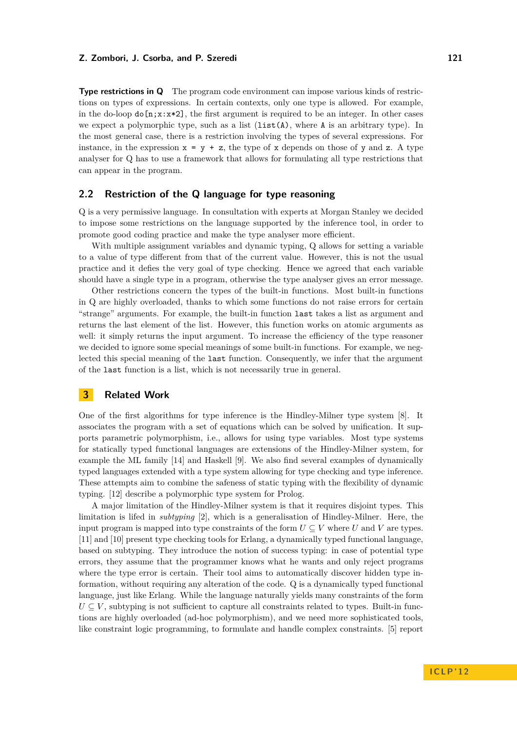**Type restrictions in Q** The program code environment can impose various kinds of restrictions on types of expressions. In certain contexts, only one type is allowed. For example, in the do-loop  $d\sigma[n;x:x*2]$ , the first argument is required to be an integer. In other cases we expect a polymorphic type, such as a list  $(iist(A),$  where A is an arbitrary type). In the most general case, there is a restriction involving the types of several expressions. For instance, in the expression  $x = y + z$ , the type of x depends on those of y and z. A type analyser for Q has to use a framework that allows for formulating all type restrictions that can appear in the program.

## <span id="page-2-1"></span>**2.2 Restriction of the Q language for type reasoning**

Q is a very permissive language. In consultation with experts at Morgan Stanley we decided to impose some restrictions on the language supported by the inference tool, in order to promote good coding practice and make the type analyser more efficient.

With multiple assignment variables and dynamic typing, Q allows for setting a variable to a value of type different from that of the current value. However, this is not the usual practice and it defies the very goal of type checking. Hence we agreed that each variable should have a single type in a program, otherwise the type analyser gives an error message.

Other restrictions concern the types of the built-in functions. Most built-in functions in Q are highly overloaded, thanks to which some functions do not raise errors for certain "strange" arguments. For example, the built-in function last takes a list as argument and returns the last element of the list. However, this function works on atomic arguments as well: it simply returns the input argument. To increase the efficiency of the type reasoner we decided to ignore some special meanings of some built-in functions. For example, we neglected this special meaning of the last function. Consequently, we infer that the argument of the last function is a list, which is not necessarily true in general.

# <span id="page-2-0"></span>**3 Related Work**

One of the first algorithms for type inference is the Hindley-Milner type system [\[8\]](#page-9-3). It associates the program with a set of equations which can be solved by unification. It supports parametric polymorphism, i.e., allows for using type variables. Most type systems for statically typed functional languages are extensions of the Hindley-Milner system, for example the ML family [\[14\]](#page-10-4) and Haskell [\[9\]](#page-9-4). We also find several examples of dynamically typed languages extended with a type system allowing for type checking and type inference. These attempts aim to combine the safeness of static typing with the flexibility of dynamic typing. [\[12\]](#page-10-5) describe a polymorphic type system for Prolog.

A major limitation of the Hindley-Milner system is that it requires disjoint types. This limitation is lifed in *subtyping* [\[2\]](#page-9-5), which is a generalisation of Hindley-Milner. Here, the input program is mapped into type constraints of the form  $U \subseteq V$  where *U* and *V* are types. [\[11\]](#page-10-6) and [\[10\]](#page-10-7) present type checking tools for Erlang, a dynamically typed functional language, based on subtyping. They introduce the notion of success typing: in case of potential type errors, they assume that the programmer knows what he wants and only reject programs where the type error is certain. Their tool aims to automatically discover hidden type information, without requiring any alteration of the code. Q is a dynamically typed functional language, just like Erlang. While the language naturally yields many constraints of the form  $U \subseteq V$ , subtyping is not sufficient to capture all constraints related to types. Built-in functions are highly overloaded (ad-hoc polymorphism), and we need more sophisticated tools, like constraint logic programming, to formulate and handle complex constraints. [\[5\]](#page-9-6) report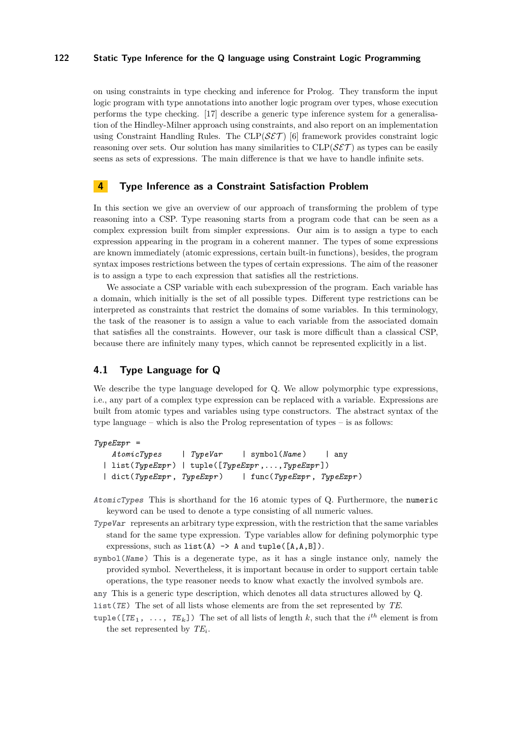on using constraints in type checking and inference for Prolog. They transform the input logic program with type annotations into another logic program over types, whose execution performs the type checking. [\[17\]](#page-10-8) describe a generic type inference system for a generalisation of the Hindley-Milner approach using constraints, and also report on an implementation using Constraint Handling Rules. The  $CLP(\mathcal{SET})$  [\[6\]](#page-9-7) framework provides constraint logic reasoning over sets. Our solution has many similarities to  $CLP(\mathcal{SET})$  as types can be easily seens as sets of expressions. The main difference is that we have to handle infinite sets.

# <span id="page-3-0"></span>**4 Type Inference as a Constraint Satisfaction Problem**

In this section we give an overview of our approach of transforming the problem of type reasoning into a CSP. Type reasoning starts from a program code that can be seen as a complex expression built from simpler expressions. Our aim is to assign a type to each expression appearing in the program in a coherent manner. The types of some expressions are known immediately (atomic expressions, certain built-in functions), besides, the program syntax imposes restrictions between the types of certain expressions. The aim of the reasoner is to assign a type to each expression that satisfies all the restrictions.

We associate a CSP variable with each subexpression of the program. Each variable has a domain, which initially is the set of all possible types. Different type restrictions can be interpreted as constraints that restrict the domains of some variables. In this terminology, the task of the reasoner is to assign a value to each variable from the associated domain that satisfies all the constraints. However, our task is more difficult than a classical CSP, because there are infinitely many types, which cannot be represented explicitly in a list.

# **4.1 Type Language for Q**

We describe the type language developed for Q. We allow polymorphic type expressions, i.e., any part of a complex type expression can be replaced with a variable. Expressions are built from atomic types and variables using type constructors. The abstract syntax of the type language – which is also the Prolog representation of types – is as follows:

```
TypeExpr =
```

```
AtomicTypes | TypeVar | symbol(Name ) | any
| list(TypeExpr ) | tuple([TypeExpr ,...,TypeExpr ])
| dict(TypeExpr , TypeExpr ) | func(TypeExpr , TypeExpr )
```
- **AtomicTypes** This is shorthand for the 16 atomic types of Q. Furthermore, the numeric keyword can be used to denote a type consisting of all numeric values.
- **TypeVar** represents an arbitrary type expression, with the restriction that the same variables stand for the same type expression. Type variables allow for defining polymorphic type expressions, such as  $list(A) \rightarrow A$  and  $tuple([A, A, B]).$
- **symbol(Name)** This is a degenerate type, as it has a single instance only, namely the provided symbol. Nevertheless, it is important because in order to support certain table operations, the type reasoner needs to know what exactly the involved symbols are.

**any** This is a generic type description, which denotes all data structures allowed by Q.

**list(TE)** The set of all lists whose elements are from the set represented by *TE*.

**tuple([TE<sub>1</sub>, ...,**  $TE_k$ ]) The set of all lists of length *k*, such that the *i*<sup>th</sup> element is from the set represented by *TE<sup>i</sup>* .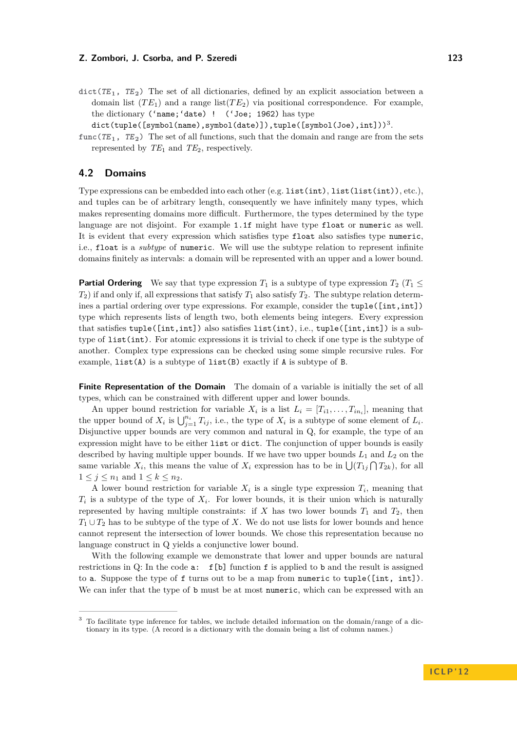$\text{dict}(TE_1, TE_2)$  The set of all dictionaries, defined by an explicit association between a domain list  $(T E_1)$  and a range list  $(T E_2)$  via positional correspondence. For example, the dictionary ('name;'date) ! ('Joe; 1962) has type

 $\text{\tt dict}(\texttt{tuple}(\texttt{[symbol}(\texttt{name}), \texttt{symbol}(\texttt{date})])$ , $\texttt{tuple}(\texttt{[symbol}(\texttt{Joe}), \texttt{int}]))^3$ .

**func(TE <sup>1</sup>, TE <sup>2</sup>)** The set of all functions, such that the domain and range are from the sets represented by  $TE_1$  and  $TE_2$ , respectively.

### **4.2 Domains**

Type expressions can be embedded into each other (e.g. list(int), list(list(int)), etc.), and tuples can be of arbitrary length, consequently we have infinitely many types, which makes representing domains more difficult. Furthermore, the types determined by the type language are not disjoint. For example 1.1f might have type float or numeric as well. It is evident that every expression which satisfies type float also satisfies type numeric, i.e., float is a *subtype* of numeric. We will use the subtype relation to represent infinite domains finitely as intervals: a domain will be represented with an upper and a lower bound.

**Partial Ordering** We say that type expression  $T_1$  is a subtype of type expression  $T_2$  ( $T_1 \leq T_2$ )  $T_2$ ) if and only if, all expressions that satisfy  $T_1$  also satisfy  $T_2$ . The subtype relation determines a partial ordering over type expressions. For example, consider the tuple([int,int]) type which represents lists of length two, both elements being integers. Every expression that satisfies tuple([int,int]) also satisfies list(int), i.e., tuple([int,int]) is a subtype of list(int). For atomic expressions it is trivial to check if one type is the subtype of another. Complex type expressions can be checked using some simple recursive rules. For example, list(A) is a subtype of list(B) exactly if A is subtype of B.

**Finite Representation of the Domain** The domain of a variable is initially the set of all types, which can be constrained with different upper and lower bounds.

An upper bound restriction for variable  $X_i$  is a list  $L_i = [T_{i1}, \ldots, T_{in_i}]$ , meaning that the upper bound of  $X_i$  is  $\bigcup_{j=1}^{n_i} T_{ij}$ , i.e., the type of *X<sub>i</sub>* is a subtype of some element of  $L_i$ . Disjunctive upper bounds are very common and natural in Q, for example, the type of an expression might have to be either list or dict. The conjunction of upper bounds is easily described by having multiple upper bounds. If we have two upper bounds *L*<sup>1</sup> and *L*<sup>2</sup> on the same variable  $X_i$ , this means the value of  $X_i$  expression has to be in  $\bigcup (T_{1j} \cap T_{2k})$ , for all  $1 \leq j \leq n_1$  and  $1 \leq k \leq n_2$ .

A lower bound restriction for variable  $X_i$  is a single type expression  $T_i$ , meaning that  $T_i$  is a subtype of the type of  $X_i$ . For lower bounds, it is their union which is naturally represented by having multiple constraints: if  $X$  has two lower bounds  $T_1$  and  $T_2$ , then  $T_1 \cup T_2$  has to be subtype of the type of *X*. We do not use lists for lower bounds and hence cannot represent the intersection of lower bounds. We chose this representation because no language construct in Q yields a conjunctive lower bound.

With the following example we demonstrate that lower and upper bounds are natural restrictions in Q: In the code a: f[b] function f is applied to b and the result is assigned to a. Suppose the type of f turns out to be a map from numeric to tuple([int, int]). We can infer that the type of b must be at most numeric, which can be expressed with an

**I C L P ' 1 2**

<sup>&</sup>lt;sup>3</sup> To facilitate type inference for tables, we include detailed information on the domain/range of a dictionary in its type. (A record is a dictionary with the domain being a list of column names.)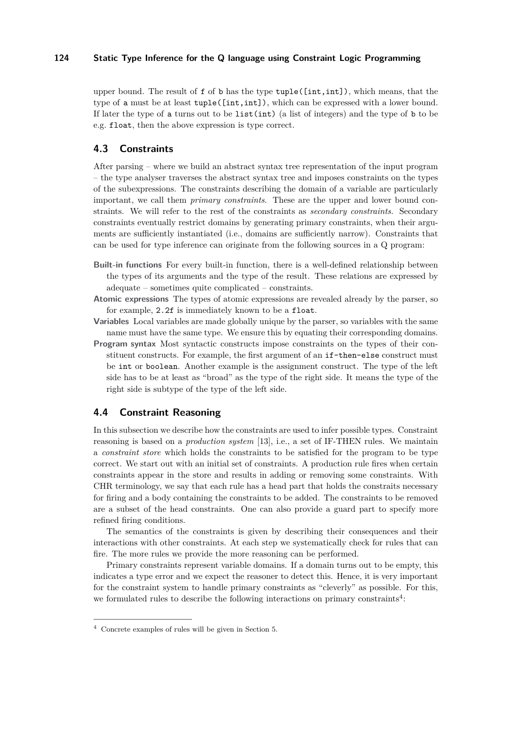upper bound. The result of  $f$  of  $b$  has the type  $tuple([int,int])$ , which means, that the type of a must be at least tuple([int,int]), which can be expressed with a lower bound. If later the type of a turns out to be  $list(int)$  (a list of integers) and the type of b to be e.g. float, then the above expression is type correct.

## **4.3 Constraints**

After parsing – where we build an abstract syntax tree representation of the input program – the type analyser traverses the abstract syntax tree and imposes constraints on the types of the subexpressions. The constraints describing the domain of a variable are particularly important, we call them *primary constraints*. These are the upper and lower bound constraints. We will refer to the rest of the constraints as *secondary constraints*. Secondary constraints eventually restrict domains by generating primary constraints, when their arguments are sufficiently instantiated (i.e., domains are sufficiently narrow). Constraints that can be used for type inference can originate from the following sources in a Q program:

- **Built-in functions** For every built-in function, there is a well-defined relationship between the types of its arguments and the type of the result. These relations are expressed by adequate – sometimes quite complicated – constraints.
- **Atomic expressions** The types of atomic expressions are revealed already by the parser, so for example, 2.2f is immediately known to be a float.
- **Variables** Local variables are made globally unique by the parser, so variables with the same name must have the same type. We ensure this by equating their corresponding domains.
- **Program syntax** Most syntactic constructs impose constraints on the types of their constituent constructs. For example, the first argument of an if-then-else construct must be int or boolean. Another example is the assignment construct. The type of the left side has to be at least as "broad" as the type of the right side. It means the type of the right side is subtype of the type of the left side.

# **4.4 Constraint Reasoning**

In this subsection we describe how the constraints are used to infer possible types. Constraint reasoning is based on a *production system* [\[13\]](#page-10-9), i.e., a set of IF-THEN rules. We maintain a *constraint store* which holds the constraints to be satisfied for the program to be type correct. We start out with an initial set of constraints. A production rule fires when certain constraints appear in the store and results in adding or removing some constraints. With CHR terminology, we say that each rule has a head part that holds the constraits necessary for firing and a body containing the constraints to be added. The constraints to be removed are a subset of the head constraints. One can also provide a guard part to specify more refined firing conditions.

The semantics of the constraints is given by describing their consequences and their interactions with other constraints. At each step we systematically check for rules that can fire. The more rules we provide the more reasoning can be performed.

Primary constraints represent variable domains. If a domain turns out to be empty, this indicates a type error and we expect the reasoner to detect this. Hence, it is very important for the constraint system to handle primary constraints as "cleverly" as possible. For this, we formulated rules to describe the following interactions on primary constraints<sup>4</sup>:

<sup>4</sup> Concrete examples of rules will be given in Section [5.](#page-7-0)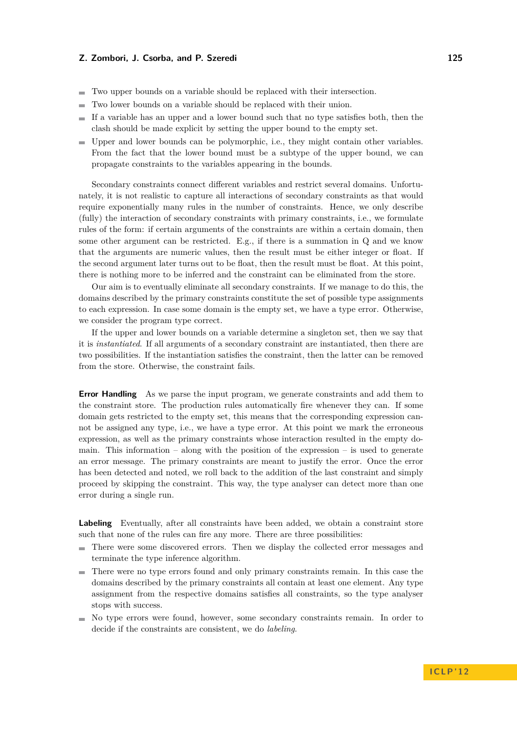- Two upper bounds on a variable should be replaced with their intersection.
- Two lower bounds on a variable should be replaced with their union.  $\rightarrow$
- If a variable has an upper and a lower bound such that no type satisfies both, then the  $\rightarrow$ clash should be made explicit by setting the upper bound to the empty set.
- Upper and lower bounds can be polymorphic, i.e., they might contain other variables. From the fact that the lower bound must be a subtype of the upper bound, we can propagate constraints to the variables appearing in the bounds.

Secondary constraints connect different variables and restrict several domains. Unfortunately, it is not realistic to capture all interactions of secondary constraints as that would require exponentially many rules in the number of constraints. Hence, we only describe (fully) the interaction of secondary constraints with primary constraints, i.e., we formulate rules of the form: if certain arguments of the constraints are within a certain domain, then some other argument can be restricted. E.g., if there is a summation in Q and we know that the arguments are numeric values, then the result must be either integer or float. If the second argument later turns out to be float, then the result must be float. At this point, there is nothing more to be inferred and the constraint can be eliminated from the store.

Our aim is to eventually eliminate all secondary constraints. If we manage to do this, the domains described by the primary constraints constitute the set of possible type assignments to each expression. In case some domain is the empty set, we have a type error. Otherwise, we consider the program type correct.

If the upper and lower bounds on a variable determine a singleton set, then we say that it is *instantiated*. If all arguments of a secondary constraint are instantiated, then there are two possibilities. If the instantiation satisfies the constraint, then the latter can be removed from the store. Otherwise, the constraint fails.

**Error Handling** As we parse the input program, we generate constraints and add them to the constraint store. The production rules automatically fire whenever they can. If some domain gets restricted to the empty set, this means that the corresponding expression cannot be assigned any type, i.e., we have a type error. At this point we mark the erroneous expression, as well as the primary constraints whose interaction resulted in the empty domain. This information  $-$  along with the position of the expression  $-$  is used to generate an error message. The primary constraints are meant to justify the error. Once the error has been detected and noted, we roll back to the addition of the last constraint and simply proceed by skipping the constraint. This way, the type analyser can detect more than one error during a single run.

**Labeling** Eventually, after all constraints have been added, we obtain a constraint store such that none of the rules can fire any more. There are three possibilities:

- There were some discovered errors. Then we display the collected error messages and  $\sim$ terminate the type inference algorithm.
- There were no type errors found and only primary constraints remain. In this case the domains described by the primary constraints all contain at least one element. Any type assignment from the respective domains satisfies all constraints, so the type analyser stops with success.
- No type errors were found, however, some secondary constraints remain. In order to decide if the constraints are consistent, we do *labeling*.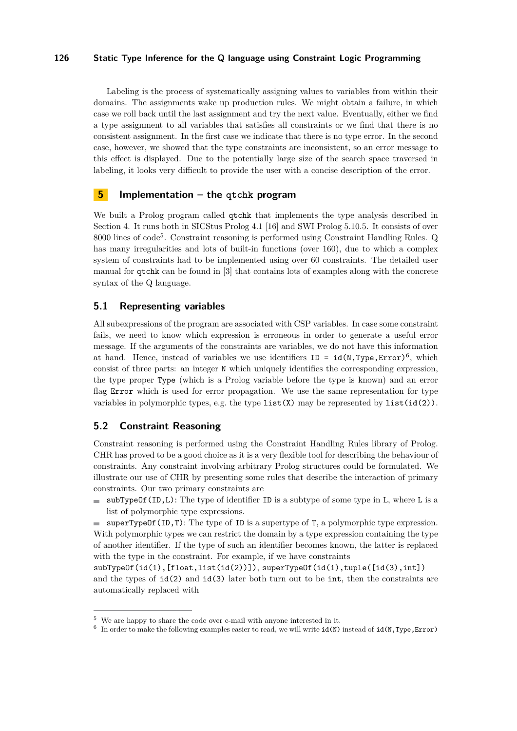Labeling is the process of systematically assigning values to variables from within their domains. The assignments wake up production rules. We might obtain a failure, in which case we roll back until the last assignment and try the next value. Eventually, either we find a type assignment to all variables that satisfies all constraints or we find that there is no consistent assignment. In the first case we indicate that there is no type error. In the second case, however, we showed that the type constraints are inconsistent, so an error message to this effect is displayed. Due to the potentially large size of the search space traversed in labeling, it looks very difficult to provide the user with a concise description of the error.

# <span id="page-7-0"></span>**5 Implementation – the qtchk program**

We built a Prolog program called qtchk that implements the type analysis described in Section [4.](#page-3-0) It runs both in SICStus Prolog 4.1 [\[16\]](#page-10-10) and SWI Prolog 5.10.5. It consists of over 8000 lines of code<sup>5</sup> . Constraint reasoning is performed using Constraint Handling Rules. Q has many irregularities and lots of built-in functions (over 160), due to which a complex system of constraints had to be implemented using over 60 constraints. The detailed user manual for qtchk can be found in [\[3\]](#page-9-8) that contains lots of examples along with the concrete syntax of the Q language.

## **5.1 Representing variables**

All subexpressions of the program are associated with CSP variables. In case some constraint fails, we need to know which expression is erroneous in order to generate a useful error message. If the arguments of the constraints are variables, we do not have this information at hand. Hence, instead of variables we use identifiers  $ID = id(N, Type, Error)^6$ , which consist of three parts: an integer N which uniquely identifies the corresponding expression, the type proper Type (which is a Prolog variable before the type is known) and an error flag Error which is used for error propagation. We use the same representation for type variables in polymorphic types, e.g. the type list(X) may be represented by list(id(2)).

## **5.2 Constraint Reasoning**

Constraint reasoning is performed using the Constraint Handling Rules library of Prolog. CHR has proved to be a good choice as it is a very flexible tool for describing the behaviour of constraints. Any constraint involving arbitrary Prolog structures could be formulated. We illustrate our use of CHR by presenting some rules that describe the interaction of primary constraints. Our two primary constraints are

 $\blacksquare$  subTypeOf(ID, L): The type of identifier ID is a subtype of some type in L, where L is a list of polymorphic type expressions.

superTypeOf(ID,T): The type of ID is a supertype of T, a polymorphic type expression. With polymorphic types we can restrict the domain by a type expression containing the type of another identifier. If the type of such an identifier becomes known, the latter is replaced with the type in the constraint. For example, if we have constraints

subTypeOf(id(1),[float,list(id(2))]), superTypeOf(id(1),tuple([id(3),int]) and the types of id(2) and id(3) later both turn out to be int, then the constraints are automatically replaced with

 $5$  We are happy to share the code over e-mail with anyone interested in it.

<sup>&</sup>lt;sup>6</sup> In order to make the following examples easier to read, we will write  $id(N)$  instead of  $id(N, Type, Error)$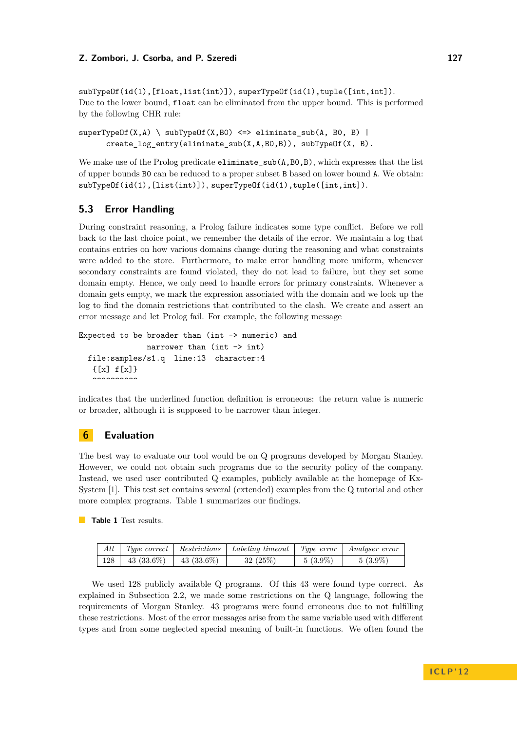subTypeOf(id(1),[float,list(int)]), superTypeOf(id(1),tuple([int,int]). Due to the lower bound, float can be eliminated from the upper bound. This is performed by the following CHR rule:

```
superTypeOf(X, A) \setminus subTypeOf(X, B0) \iff eliminate\_sub(A, B0, B) |
      create log entry(eliminate sub(X,A,B0,B)), subTypeOf(X, B).
```
We make use of the Prolog predicate  $eliminate\_sub(A,BO, B)$ , which expresses that the list of upper bounds B0 can be reduced to a proper subset B based on lower bound A. We obtain: subTypeOf(id(1),[list(int)]), superTypeOf(id(1),tuple([int,int]).

# **5.3 Error Handling**

During constraint reasoning, a Prolog failure indicates some type conflict. Before we roll back to the last choice point, we remember the details of the error. We maintain a log that contains entries on how various domains change during the reasoning and what constraints were added to the store. Furthermore, to make error handling more uniform, whenever secondary constraints are found violated, they do not lead to failure, but they set some domain empty. Hence, we only need to handle errors for primary constraints. Whenever a domain gets empty, we mark the expression associated with the domain and we look up the log to find the domain restrictions that contributed to the clash. We create and assert an error message and let Prolog fail. For example, the following message

```
Expected to be broader than (int -> numeric) and
              narrower than (int -> int)
 file:samples/s1.q line:13 character:4
   {[x] f[x]}\ddotsc
```
indicates that the underlined function definition is erroneous: the return value is numeric or broader, although it is supposed to be narrower than integer.

## <span id="page-8-0"></span>**6 Evaluation**

The best way to evaluate our tool would be on Q programs developed by Morgan Stanley. However, we could not obtain such programs due to the security policy of the company. Instead, we used user contributed Q examples, publicly available at the homepage of Kx-System [\[1\]](#page-9-2). This test set contains several (extended) examples from the Q tutorial and other more complex programs. Table [1](#page-8-1) summarizes our findings.

<span id="page-8-1"></span>**Table 1** Test results.

| All |               |              | Type correct   Restrictions   Labeling timeout   Type error   Analyser error |            |            |
|-----|---------------|--------------|------------------------------------------------------------------------------|------------|------------|
| 128 | 43 $(33.6\%)$ | $43(33.6\%)$ | 32(25%)                                                                      | $5(3.9\%)$ | $5(3.9\%)$ |

We used 128 publicly available Q programs. Of this 43 were found type correct. As explained in Subsection [2.2,](#page-2-1) we made some restrictions on the Q language, following the requirements of Morgan Stanley. 43 programs were found erroneous due to not fulfilling these restrictions. Most of the error messages arise from the same variable used with different types and from some neglected special meaning of built-in functions. We often found the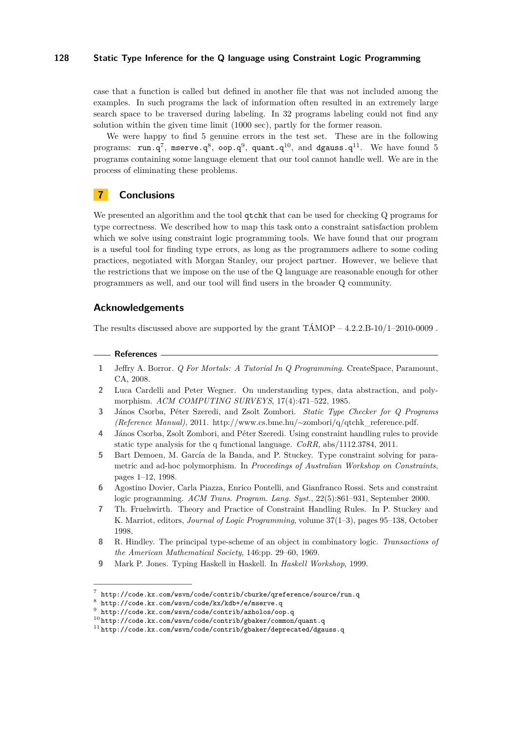case that a function is called but defined in another file that was not included among the examples. In such programs the lack of information often resulted in an extremely large search space to be traversed during labeling. In 32 programs labeling could not find any solution within the given time limit (1000 sec), partly for the former reason.

We were happy to find 5 genuine errors in the test set. These are in the following programs:  $\texttt{run.q}^7\textnormal{, } \texttt{mserver.q}^8\textnormal{, } \texttt{oop.q}^9\textnormal{, } \texttt{quant.q}^{10}\textnormal{, } \text{ and } \texttt{dgauss.q}^{11}\textnormal{. } \text{ We have found } 5$ programs containing some language element that our tool cannot handle well. We are in the process of eliminating these problems.

# **7 Conclusions**

We presented an algorithm and the tool qtchk that can be used for checking Q programs for type correctness. We described how to map this task onto a constraint satisfaction problem which we solve using constraint logic programming tools. We have found that our program is a useful tool for finding type errors, as long as the programmers adhere to some coding practices, negotiated with Morgan Stanley, our project partner. However, we believe that the restrictions that we impose on the use of the Q language are reasonable enough for other programmers as well, and our tool will find users in the broader Q community.

## **Acknowledgements**

The results discussed above are supported by the grant  $TAMOP - 4.2.2.B-10/1-2010-0009$ .

#### **References**

- <span id="page-9-2"></span>**1** Jeffry A. Borror. *Q For Mortals: A Tutorial In Q Programming*. CreateSpace, Paramount, CA, 2008.
- <span id="page-9-5"></span>**2** Luca Cardelli and Peter Wegner. On understanding types, data abstraction, and polymorphism. *ACM COMPUTING SURVEYS*, 17(4):471–522, 1985.
- <span id="page-9-8"></span>**3** János Csorba, Péter Szeredi, and Zsolt Zombori. *Static Type Checker for Q Programs (Reference Manual)*, 2011. http://www.cs.bme.hu/∼zombori/q/qtchk\_reference.pdf.
- <span id="page-9-0"></span>**4** János Csorba, Zsolt Zombori, and Péter Szeredi. Using constraint handling rules to provide static type analysis for the q functional language. *CoRR*, abs/1112.3784, 2011.
- <span id="page-9-6"></span>**5** Bart Demoen, M. García de la Banda, and P. Stuckey. Type constraint solving for parametric and ad-hoc polymorphism. In *Proceedings of Australian Workshop on Constraints*, pages 1–12, 1998.
- <span id="page-9-7"></span>**6** Agostino Dovier, Carla Piazza, Enrico Pontelli, and Gianfranco Rossi. Sets and constraint logic programming. *ACM Trans. Program. Lang. Syst.*, 22(5):861–931, September 2000.
- <span id="page-9-1"></span>**7** Th. Fruehwirth. Theory and Practice of Constraint Handling Rules. In P. Stuckey and K. Marriot, editors, *Journal of Logic Programming*, volume 37(1–3), pages 95–138, October 1998.
- <span id="page-9-3"></span>**8** R. Hindley. The principal type-scheme of an object in combinatory logic. *Transactions of the American Mathematical Society*, 146:pp. 29–60, 1969.
- <span id="page-9-4"></span>**9** Mark P. Jones. Typing Haskell in Haskell. In *Haskell Workshop*, 1999.

 $^7$  <http://code.kx.com/wsvn/code/contrib/cburke/qreference/source/run.q>

 $8$  <http://code.kx.com/wsvn/code/kx/kdb+/e/mserve.q>

 $^9$  <http://code.kx.com/wsvn/code/contrib/azholos/oop.q>

 $10$ <http://code.kx.com/wsvn/code/contrib/gbaker/common/quant.q>

 $11$ <http://code.kx.com/wsvn/code/contrib/gbaker/deprecated/dgauss.q>